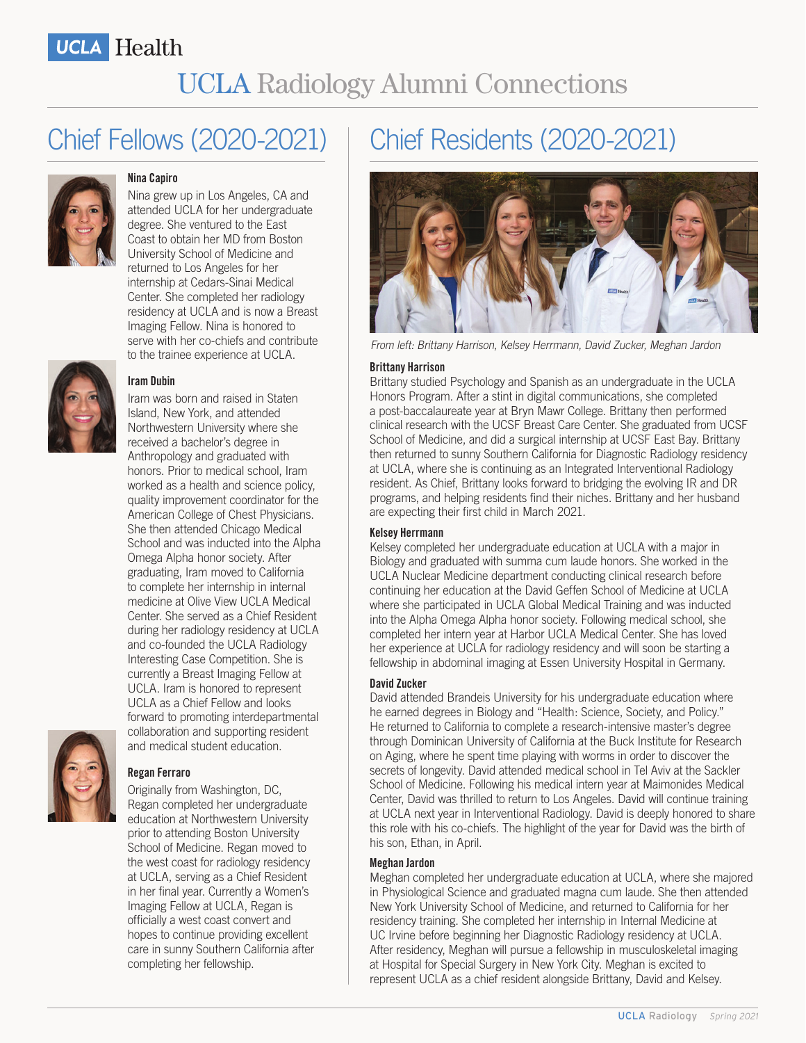### Chief Fellows (2020-2021)



#### **Nina Capiro**

Nina grew up in Los Angeles, CA and attended UCLA for her undergraduate degree. She ventured to the East Coast to obtain her MD from Boston University School of Medicine and returned to Los Angeles for her internship at Cedars-Sinai Medical Center. She completed her radiology residency at UCLA and is now a Breast Imaging Fellow. Nina is honored to serve with her co-chiefs and contribute to the trainee experience at UCLA.



#### **Iram Dubin**

Iram was born and raised in Staten Island, New York, and attended Northwestern University where she received a bachelor's degree in Anthropology and graduated with honors. Prior to medical school, Iram worked as a health and science policy, quality improvement coordinator for the American College of Chest Physicians. She then attended Chicago Medical School and was inducted into the Alpha Omega Alpha honor society. After graduating, Iram moved to California to complete her internship in internal medicine at Olive View UCLA Medical Center. She served as a Chief Resident during her radiology residency at UCLA and co-founded the UCLA Radiology Interesting Case Competition. She is currently a Breast Imaging Fellow at UCLA. Iram is honored to represent UCLA as a Chief Fellow and looks forward to promoting interdepartmental collaboration and supporting resident and medical student education.



#### **Regan Ferraro**

Originally from Washington, DC, Regan completed her undergraduate education at Northwestern University prior to attending Boston University School of Medicine. Regan moved to the west coast for radiology residency at UCLA, serving as a Chief Resident in her final year. Currently a Women's Imaging Fellow at UCLA, Regan is officially a west coast convert and hopes to continue providing excellent care in sunny Southern California after completing her fellowship.

# Chief Residents (2020-2021)



From left: Brittany Harrison, Kelsey Herrmann, David Zucker, Meghan Jardon

#### **Brittany Harrison**

Brittany studied Psychology and Spanish as an undergraduate in the UCLA Honors Program. After a stint in digital communications, she completed a post-baccalaureate year at Bryn Mawr College. Brittany then performed clinical research with the UCSF Breast Care Center. She graduated from UCSF School of Medicine, and did a surgical internship at UCSF East Bay. Brittany then returned to sunny Southern California for Diagnostic Radiology residency at UCLA, where she is continuing as an Integrated Interventional Radiology resident. As Chief, Brittany looks forward to bridging the evolving IR and DR programs, and helping residents find their niches. Brittany and her husband are expecting their first child in March 2021.

#### **Kelsey Herrmann**

Kelsey completed her undergraduate education at UCLA with a major in Biology and graduated with summa cum laude honors. She worked in the UCLA Nuclear Medicine department conducting clinical research before continuing her education at the David Geffen School of Medicine at UCLA where she participated in UCLA Global Medical Training and was inducted into the Alpha Omega Alpha honor society. Following medical school, she completed her intern year at Harbor UCLA Medical Center. She has loved her experience at UCLA for radiology residency and will soon be starting a fellowship in abdominal imaging at Essen University Hospital in Germany.

#### **David Zucker**

David attended Brandeis University for his undergraduate education where he earned degrees in Biology and "Health: Science, Society, and Policy." He returned to California to complete a research-intensive master's degree through Dominican University of California at the Buck Institute for Research on Aging, where he spent time playing with worms in order to discover the secrets of longevity. David attended medical school in Tel Aviv at the Sackler School of Medicine. Following his medical intern year at Maimonides Medical Center, David was thrilled to return to Los Angeles. David will continue training at UCLA next year in Interventional Radiology. David is deeply honored to share this role with his co-chiefs. The highlight of the year for David was the birth of his son, Ethan, in April.

#### **Meghan Jardon**

Meghan completed her undergraduate education at UCLA, where she majored in Physiological Science and graduated magna cum laude. She then attended New York University School of Medicine, and returned to California for her residency training. She completed her internship in Internal Medicine at UC Irvine before beginning her Diagnostic Radiology residency at UCLA. After residency, Meghan will pursue a fellowship in musculoskeletal imaging at Hospital for Special Surgery in New York City. Meghan is excited to represent UCLA as a chief resident alongside Brittany, David and Kelsey.